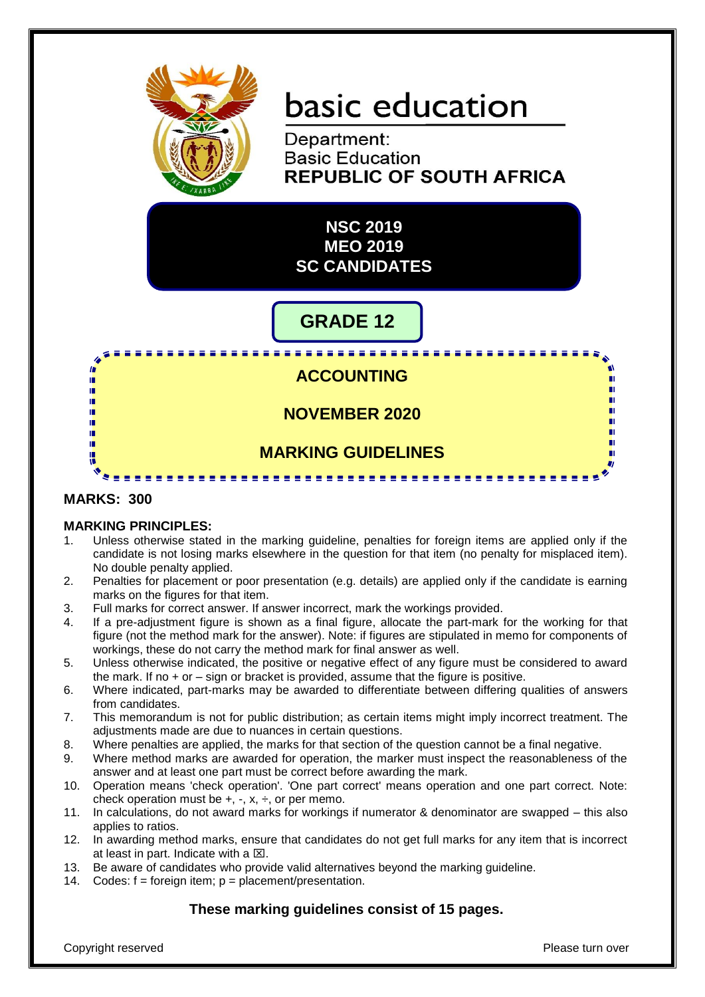

# basic education

Department: **Basic Education REPUBLIC OF SOUTH AFRICA** 

**NSC 2019 MEO 2019 SC CANDIDATES**

# **GRADE 12**

# <u> - - - - - - - - - - - - - - -</u> **ACCOUNTING NOVEMBER 2020 MARKING GUIDELINES**

# **MARKS: 300**

In ń 唓 1È

ú. ΙÚ, ń m

#### **MARKING PRINCIPLES:**

1. Unless otherwise stated in the marking guideline, penalties for foreign items are applied only if the candidate is not losing marks elsewhere in the question for that item (no penalty for misplaced item). No double penalty applied.

. . . . . . . . . . . . . . . . . . .

- 2. Penalties for placement or poor presentation (e.g. details) are applied only if the candidate is earning marks on the figures for that item.
- 3. Full marks for correct answer. If answer incorrect, mark the workings provided.
- 4. If a pre-adjustment figure is shown as a final figure, allocate the part-mark for the working for that figure (not the method mark for the answer). Note: if figures are stipulated in memo for components of workings, these do not carry the method mark for final answer as well.
- 5. Unless otherwise indicated, the positive or negative effect of any figure must be considered to award the mark. If no + or – sign or bracket is provided, assume that the figure is positive.
- 6. Where indicated, part-marks may be awarded to differentiate between differing qualities of answers from candidates.
- 7. This memorandum is not for public distribution; as certain items might imply incorrect treatment. The adjustments made are due to nuances in certain questions.
- 8. Where penalties are applied, the marks for that section of the question cannot be a final negative.
- 9. Where method marks are awarded for operation, the marker must inspect the reasonableness of the answer and at least one part must be correct before awarding the mark.
- 10. Operation means 'check operation'. 'One part correct' means operation and one part correct. Note: check operation must be  $+$ ,  $-$ ,  $x$ ,  $\div$ , or per memo.
- 11. In calculations, do not award marks for workings if numerator & denominator are swapped this also applies to ratios.
- 12. In awarding method marks, ensure that candidates do not get full marks for any item that is incorrect at least in part. Indicate with a  $\boxtimes$ .
- 13. Be aware of candidates who provide valid alternatives beyond the marking guideline.
- 14. Codes:  $f =$  foreign item;  $p =$  placement/presentation.

# **These marking guidelines consist of 15 pages.**

Copyright reserved **Please turn over the Copyright reserved** Please turn over

п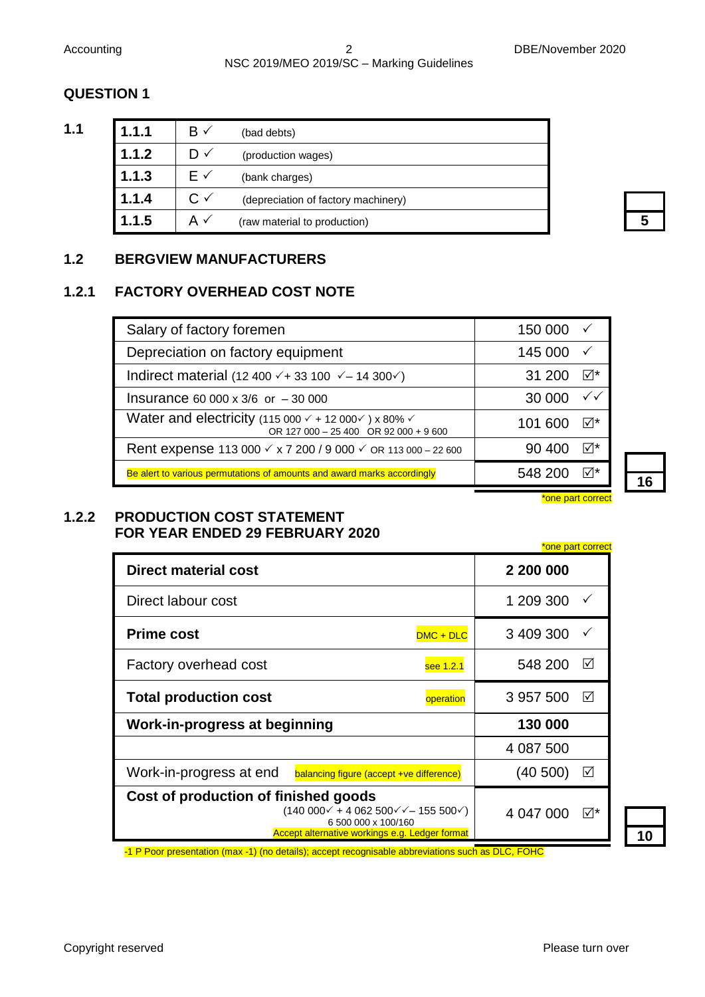# Accounting 2 DBE/November 2020 NSC 2019/MEO 2019/SC – Marking Guidelines

# **QUESTION 1**

| ۰. |  |
|----|--|
|    |  |

| 1.1 | 1.1.1 | $\mathsf{B} \checkmark$ | (bad debts)                         |
|-----|-------|-------------------------|-------------------------------------|
|     | 1.1.2 | D√                      | (production wages)                  |
|     | 1.1.3 | F√                      | (bank charges)                      |
|     | 1.1.4 | C ✓                     | (depreciation of factory machinery) |
|     | 1.1.5 |                         | (raw material to production)        |

# **1.2 BERGVIEW MANUFACTURERS**

# **1.2.1 FACTORY OVERHEAD COST NOTE**

| Salary of factory foremen                                                                                                       | 150 000                  |
|---------------------------------------------------------------------------------------------------------------------------------|--------------------------|
| Depreciation on factory equipment                                                                                               | 145 000                  |
| Indirect material (12 400 $\checkmark$ + 33 100 $\checkmark$ – 14 300 $\checkmark$ )                                            | 31 200                   |
| Insurance 60 000 x 3/6 or $-30000$                                                                                              | 30 000                   |
| Water and electricity (115 000 $\checkmark$ + 12 000 $\checkmark$ ) x 80% $\checkmark$<br>OR 127 000 - 25 400 OR 92 000 + 9 600 | 101 600                  |
| Rent expense 113 000 $\checkmark$ x 7 200 / 9 000 $\checkmark$ OR 113 000 – 22 600                                              | 90 400                   |
| Be alert to various permutations of amounts and award marks accordingly                                                         | 548 200                  |
|                                                                                                                                 | <u>*one part correct</u> |

#### **1.2.2 PRODUCTION COST STATEMENT FOR YEAR ENDED 29 FEBRUARY 2020**

|                                                                                                                                                                     | <u>*one part correct</u> |
|---------------------------------------------------------------------------------------------------------------------------------------------------------------------|--------------------------|
| Direct material cost                                                                                                                                                | 2 200 000                |
| Direct labour cost                                                                                                                                                  | 1 209 300                |
| <b>Prime cost</b><br>$DMC + DLC$                                                                                                                                    | 3 409 300                |
| Factory overhead cost<br>see 1.2.1                                                                                                                                  | 548 200<br>⋈             |
| <b>Total production cost</b><br>operation                                                                                                                           | 3 957 500<br>⋈           |
| Work-in-progress at beginning                                                                                                                                       | 130 000                  |
|                                                                                                                                                                     | 4 087 500                |
| Work-in-progress at end<br>balancing figure (accept +ve difference)                                                                                                 | ⊠<br>(40 500)            |
| Cost of production of finished goods<br>$(140000 \times + 4062500 \times - 155500 \times)$<br>6 500 000 x 100/160<br>Accept alternative workings e.g. Ledger format | ∣√*<br>4 047 000         |

**10**

-1 P Poor presentation (max -1) (no details); accept recognisable abbreviations such as DLC, FOHC

**16**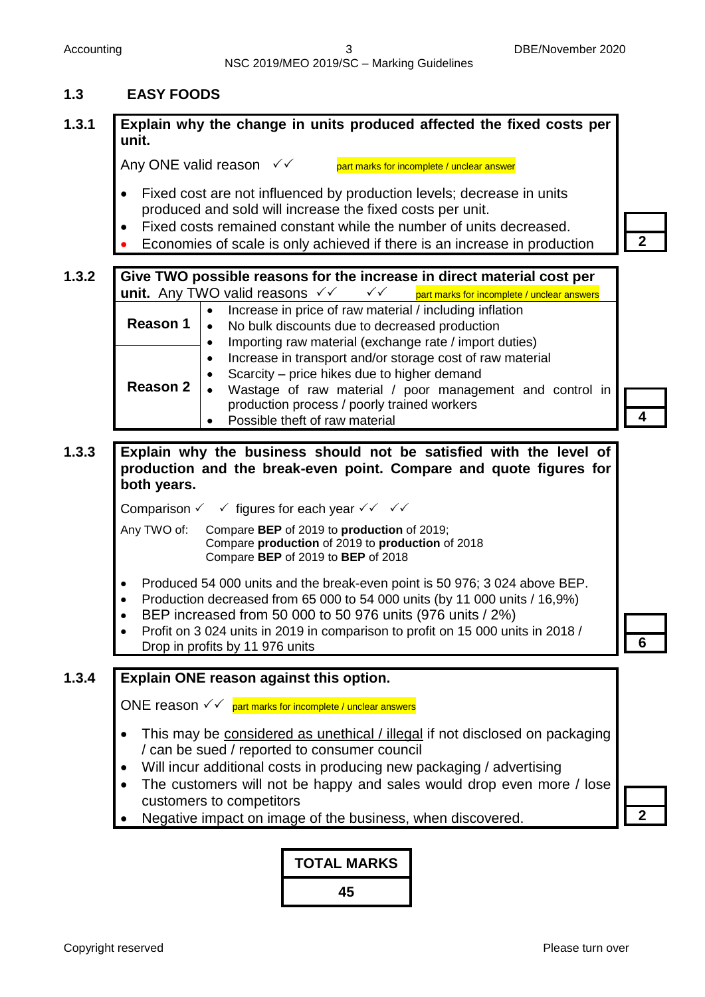# **1.3 EASY FOODS**

# **1.3.1 Explain why the change in units produced affected the fixed costs per unit.**

Any ONE valid reason  $\checkmark\checkmark$  part marks for incomplete / unclear answer

- Fixed cost are not influenced by production levels; decrease in units produced and sold will increase the fixed costs per unit.
- Fixed costs remained constant while the number of units decreased.
- Economies of scale is only achieved if there is an increase in production **2**

#### **1.3.2 Give TWO possible reasons for the increase in direct material cost per unit.** Any TWO valid reasons  $\checkmark$   $\checkmark$   $\checkmark$   $\checkmark$   $\checkmark$   $\checkmark$  part marks for incomplete / unclear answers **Reason 1** Increase in price of raw material / including inflation No bulk discounts due to decreased production • Importing raw material (exchange rate / import duties) • Increase in transport and/or storage cost of raw material Scarcity – price hikes due to higher demand Wastage of raw material / poor management and control in production process / poorly trained workers **Reason 2**

• Possible theft of raw material

**1.3.3 Explain why the business should not be satisfied with the level of production and the break-even point. Compare and quote figures for both years.**

Comparison  $\checkmark$   $\checkmark$  figures for each year  $\checkmark\checkmark$   $\checkmark\checkmark$ 

Any TWO of: Compare **BEP** of 2019 to **production** of 2019; Compare **production** of 2019 to **production** of 2018 Compare **BEP** of 2019 to **BEP** of 2018

- Produced 54 000 units and the break-even point is 50 976; 3 024 above BEP.
- Production decreased from 65 000 to 54 000 units (by 11 000 units / 16,9%)
- BEP increased from 50 000 to 50 976 units (976 units / 2%)
- Profit on 3 024 units in 2019 in comparison to profit on 15 000 units in 2018 / Drop in profits by 11 976 units **61**

#### **1.3.4 Explain ONE reason against this option.**

ONE reason  $\sqrt{\sqrt{p}}$  part marks for incomplete / unclear answers

- This may be considered as unethical / illegal if not disclosed on packaging / can be sued / reported to consumer council
- Will incur additional costs in producing new packaging / advertising
- The customers will not be happy and sales would drop even more / lose customers to competitors
- Negative impact on image of the business, when discovered. **2**

**4**

**TOTAL MARKS 45**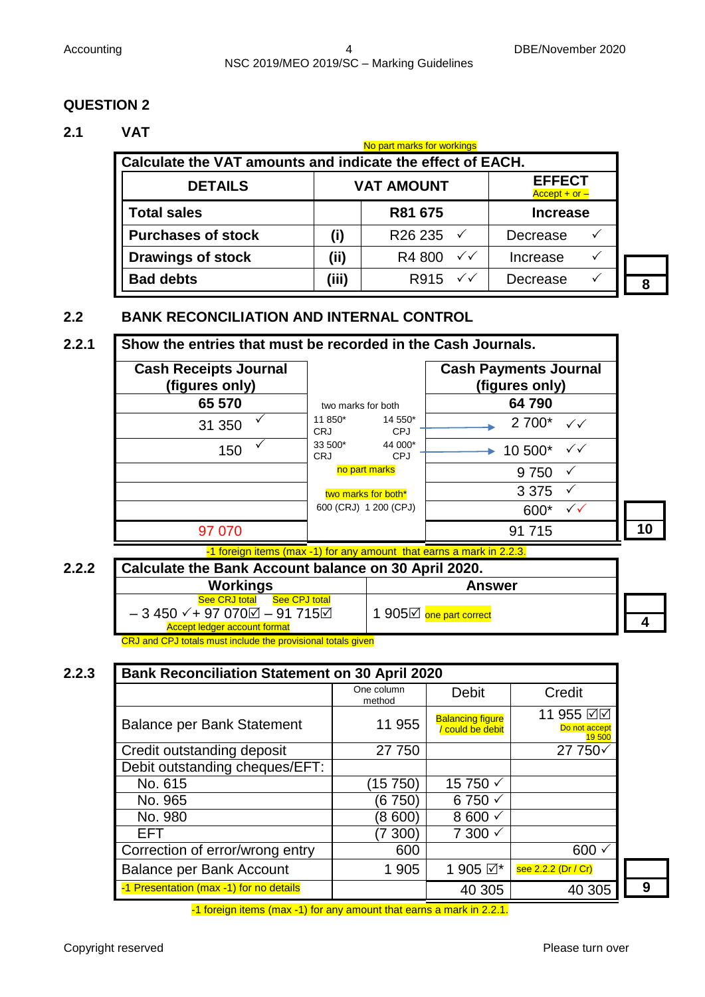#### **2.1 VAT**

| No part marks for workings                                 |                                                       |                             |                 |  |   |
|------------------------------------------------------------|-------------------------------------------------------|-----------------------------|-----------------|--|---|
| Calculate the VAT amounts and indicate the effect of EACH. |                                                       |                             |                 |  |   |
| <b>DETAILS</b>                                             | <b>EFFECT</b><br><b>VAT AMOUNT</b><br>$Accept + or -$ |                             |                 |  |   |
| <b>Total sales</b>                                         | R81 675                                               |                             | <b>Increase</b> |  |   |
| <b>Purchases of stock</b>                                  | (i)                                                   | R <sub>26</sub> 235         | Decrease        |  |   |
| <b>Drawings of stock</b>                                   | (iii)                                                 | $\checkmark$<br>R4 800      | Increase        |  |   |
| <b>Bad debts</b>                                           | (iii)                                                 | R915 $\checkmark\checkmark$ | Decrease        |  | 8 |

# **2.2 BANK RECONCILIATION AND INTERNAL CONTROL**

| <b>Cash Receipts Journal</b><br>(figures only) |                                                | <b>Cash Payments Journal</b><br>(figures only) |
|------------------------------------------------|------------------------------------------------|------------------------------------------------|
| 65 570                                         | two marks for both                             | 64790                                          |
| 31 350                                         | 11 850*<br>14 550*<br><b>CPJ</b><br><b>CRJ</b> | $2700^*$ $\checkmark\checkmark$                |
| 150                                            | 33 500*<br>44 000*<br><b>CRJ</b><br><b>CPJ</b> | 10 500*<br>$\checkmark$                        |
|                                                | no part marks                                  | 9 7 5 0                                        |
|                                                | two marks for both <sup>*</sup>                | 3 3 7 5                                        |
|                                                | 600 (CRJ) 1 200 (CPJ)                          | $\checkmark$<br>600*                           |
| 97 070                                         |                                                | 91 715                                         |

-1 foreign items (max -1) for any amount that earns a mark in 2.2.3.

**2.2.2 Calculate the Bank Account balance on 30 April 2020.**

| Workings                                                                                                          | <b>Answer</b>           |  |
|-------------------------------------------------------------------------------------------------------------------|-------------------------|--|
| <b>See CPJ total</b><br><b>See CRJ total</b>                                                                      |                         |  |
| $-3450$ $\checkmark$ + 97 070 $\textcircled{1}$ – 91 715 $\textcircled{1}$<br><b>Accept ledger account format</b> | 1 905⊡ one part correct |  |

CRJ and CPJ totals must include the provisional totals given

| <b>Bank Reconciliation Statement on 30 April 2020</b> |                      |                                           |                                            |
|-------------------------------------------------------|----------------------|-------------------------------------------|--------------------------------------------|
|                                                       | One column<br>method | <b>Debit</b>                              | Credit                                     |
| <b>Balance per Bank Statement</b>                     | 11 955               | <b>Balancing figure</b><br>could be debit | 11 955 ☑☑<br>Do not accept<br><b>19500</b> |
| Credit outstanding deposit                            | 27 750               |                                           | 27 750 $\checkmark$                        |
| Debit outstanding cheques/EFT:                        |                      |                                           |                                            |
| No. 615                                               | 15 750)              | 15 750 √                                  |                                            |
| No. 965                                               | (6 750)              | $6750 \checkmark$                         |                                            |
| No. 980                                               | (8600)               | 8 600 $\checkmark$                        |                                            |
| EFT.                                                  | $(7\ 300)$           | $7300 \checkmark$                         |                                            |
| Correction of error/wrong entry                       | 600                  |                                           | 600                                        |
| <b>Balance per Bank Account</b>                       | 1 905                | 1 905 ☑*                                  | see 2.2.2 (Dr / Cr)                        |
| -1 Presentation (max -1) for no details               |                      | 40 305                                    | 40 305                                     |

-1 foreign items (max -1) for any amount that earns a mark in 2.2.1.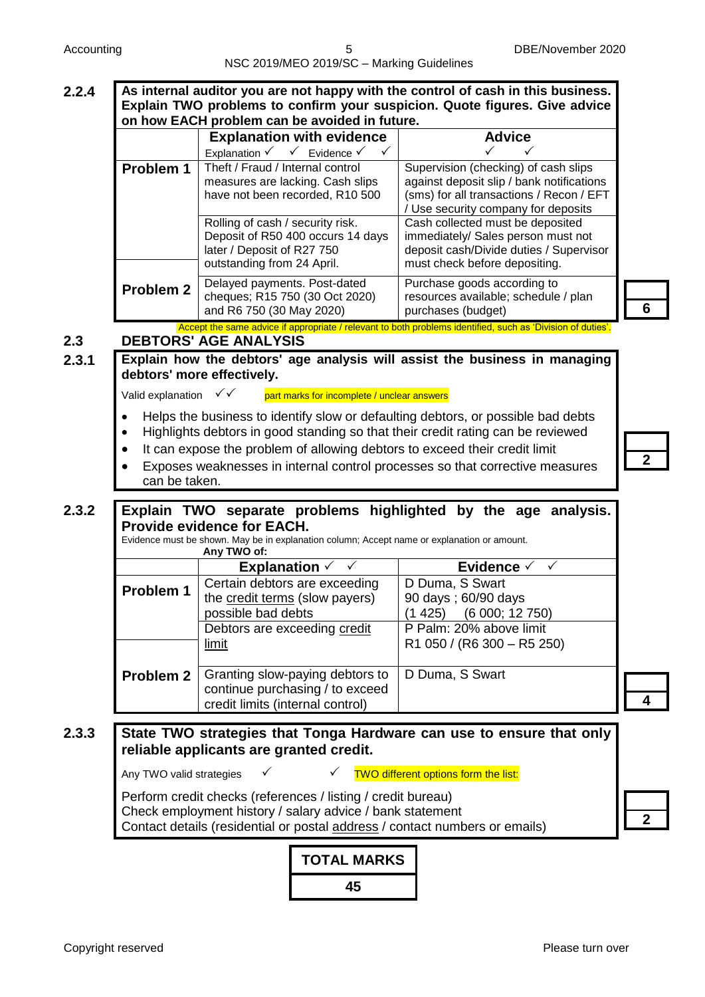|       |                                     | NSC 2019/MEO 2019/SC - Marking Guidelines                                                                                                                                                                                                                                                                                                          |                                                                                                                                                                                            |   |  |
|-------|-------------------------------------|----------------------------------------------------------------------------------------------------------------------------------------------------------------------------------------------------------------------------------------------------------------------------------------------------------------------------------------------------|--------------------------------------------------------------------------------------------------------------------------------------------------------------------------------------------|---|--|
| 2.2.4 |                                     | on how EACH problem can be avoided in future.                                                                                                                                                                                                                                                                                                      | As internal auditor you are not happy with the control of cash in this business.<br>Explain TWO problems to confirm your suspicion. Quote figures. Give advice                             |   |  |
|       | Problem 1                           | <b>Explanation with evidence</b><br>Explanation $\checkmark$ $\checkmark$ Evidence $\checkmark$<br>Theft / Fraud / Internal control<br>measures are lacking. Cash slips<br>have not been recorded, R10 500                                                                                                                                         | <b>Advice</b><br>✓<br>Supervision (checking) of cash slips<br>against deposit slip / bank notifications<br>(sms) for all transactions / Recon / EFT<br>/ Use security company for deposits |   |  |
|       |                                     | Rolling of cash / security risk.<br>Deposit of R50 400 occurs 14 days<br>later / Deposit of R27 750<br>outstanding from 24 April.                                                                                                                                                                                                                  | Cash collected must be deposited<br>immediately/ Sales person must not<br>deposit cash/Divide duties / Supervisor<br>must check before depositing.                                         |   |  |
|       | <b>Problem 2</b>                    | Delayed payments. Post-dated<br>cheques; R15 750 (30 Oct 2020)<br>and R6 750 (30 May 2020)                                                                                                                                                                                                                                                         | Purchase goods according to<br>resources available; schedule / plan<br>purchases (budget)                                                                                                  | 6 |  |
| 2.3   |                                     | <b>DEBTORS' AGE ANALYSIS</b>                                                                                                                                                                                                                                                                                                                       | Accept the same advice if appropriate / relevant to both problems identified, such as 'Division of duties'                                                                                 |   |  |
| 2.3.1 |                                     | debtors' more effectively.                                                                                                                                                                                                                                                                                                                         | Explain how the debtors' age analysis will assist the business in managing                                                                                                                 |   |  |
|       | Valid explanation                   | ✓✓<br>part marks for incomplete / unclear answers                                                                                                                                                                                                                                                                                                  |                                                                                                                                                                                            |   |  |
|       | $\bullet$<br>$\bullet$<br>$\bullet$ | Helps the business to identify slow or defaulting debtors, or possible bad debts<br>Highlights debtors in good standing so that their credit rating can be reviewed<br>It can expose the problem of allowing debtors to exceed their credit limit<br>Exposes weaknesses in internal control processes so that corrective measures<br>can be taken. |                                                                                                                                                                                            |   |  |
| 2.3.2 |                                     | <b>Provide evidence for EACH.</b><br>Evidence must be shown. May be in explanation column; Accept name or explanation or amount.<br>Any TWO of:                                                                                                                                                                                                    | Explain TWO separate problems highlighted by the age analysis.                                                                                                                             |   |  |
|       |                                     | Explanation $\checkmark$                                                                                                                                                                                                                                                                                                                           | Evidence √<br>$\checkmark$                                                                                                                                                                 |   |  |
|       | Problem 1                           | Certain debtors are exceeding<br>the credit terms (slow payers)<br>possible bad debts<br>Debtors are exceeding credit                                                                                                                                                                                                                              | D Duma, S Swart<br>90 days; 60/90 days<br>(1425)<br>(6 000; 12 750)<br>P Palm: 20% above limit                                                                                             |   |  |
|       | <b>Problem 2</b>                    | <u>limit</u><br>Granting slow-paying debtors to<br>continue purchasing / to exceed<br>credit limits (internal control)                                                                                                                                                                                                                             | R1 050 / (R6 300 - R5 250)<br>D Duma, S Swart                                                                                                                                              |   |  |
| 2.3.3 |                                     | reliable applicants are granted credit.                                                                                                                                                                                                                                                                                                            | State TWO strategies that Tonga Hardware can use to ensure that only                                                                                                                       |   |  |
|       | Any TWO valid strategies            | $\checkmark$                                                                                                                                                                                                                                                                                                                                       | TWO different options form the list:                                                                                                                                                       |   |  |
|       |                                     | Perform credit checks (references / listing / credit bureau)<br>Check employment history / salary advice / bank statement<br>Contact details (residential or postal address / contact numbers or emails)                                                                                                                                           |                                                                                                                                                                                            |   |  |
|       |                                     | <b>TOTAL MARKS</b>                                                                                                                                                                                                                                                                                                                                 |                                                                                                                                                                                            |   |  |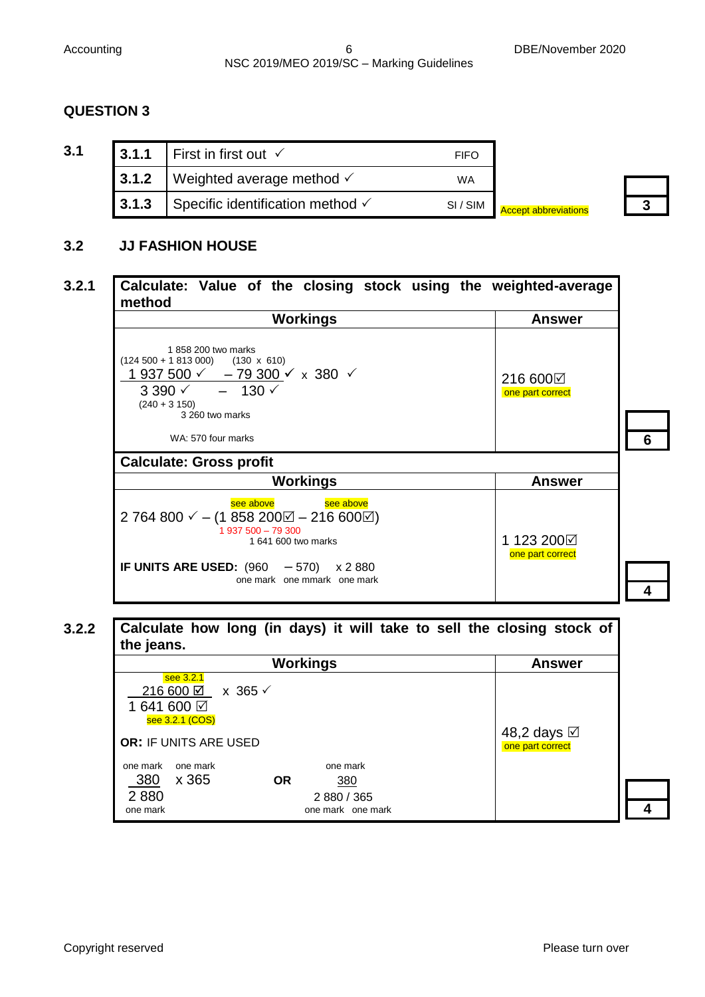| 3.1 | 3.1.1 | ∣ First in first out $\checkmark$           | <b>FIFO</b> |                             |  |
|-----|-------|---------------------------------------------|-------------|-----------------------------|--|
|     | 3.1.2 | Weighted average method $\checkmark$        | WA          |                             |  |
|     | 3.1.3 | Specific identification method $\checkmark$ | SI / SIM    | <b>Accept abbreviations</b> |  |

#### **3.2 JJ FASHION HOUSE**

# **3.2.1 Calculate: Value of the closing stock using the weighted-average method**

| <b>Workings</b>                                                                                                                                                                                                                 | <b>Answer</b>                  |  |
|---------------------------------------------------------------------------------------------------------------------------------------------------------------------------------------------------------------------------------|--------------------------------|--|
| 1858 200 two marks<br>$(124\ 500 + 1\ 813\ 000)$ $(130 \times 610)$<br>1 937 500 $\checkmark$ - 79 300 $\checkmark$ x 380 $\checkmark$<br>$3390 \times - 130 \times$<br>$(240 + 3150)$<br>3 260 two marks<br>WA: 570 four marks | 216 600⊠<br>one part correct   |  |
| <b>Calculate: Gross profit</b>                                                                                                                                                                                                  |                                |  |
| <b>Workings</b>                                                                                                                                                                                                                 | <b>Answer</b>                  |  |
| see above<br>see above<br>2 764 800 $\checkmark$ – (1 858 200 $\checkmark$ – 216 600 $\checkmark$ )<br>$1937500 - 79300$<br>1 641 600 two marks<br>IF UNITS ARE USED: $(960 - 570)$<br>x 2 880<br>one mark one mmark one mark   | 1 123 200⊠<br>one part correct |  |

# **3.2.2 Calculate how long (in days) it will take to sell the closing stock of the jeans.**

|                                                                                                | <b>Answer</b>                                                    |                                        |
|------------------------------------------------------------------------------------------------|------------------------------------------------------------------|----------------------------------------|
| see 3.2.1<br>216 600 ☑ x 365 √<br>1641600 ☑<br>see 3.2.1 (COS)<br><b>OR: IF UNITS ARE USED</b> |                                                                  | 48,2 days <b>⊠</b><br>one part correct |
| one mark<br>one mark<br>380<br>x 365<br>2880<br>one mark                                       | one mark<br><b>OR</b><br>380<br>2 880 / 365<br>one mark one mark |                                        |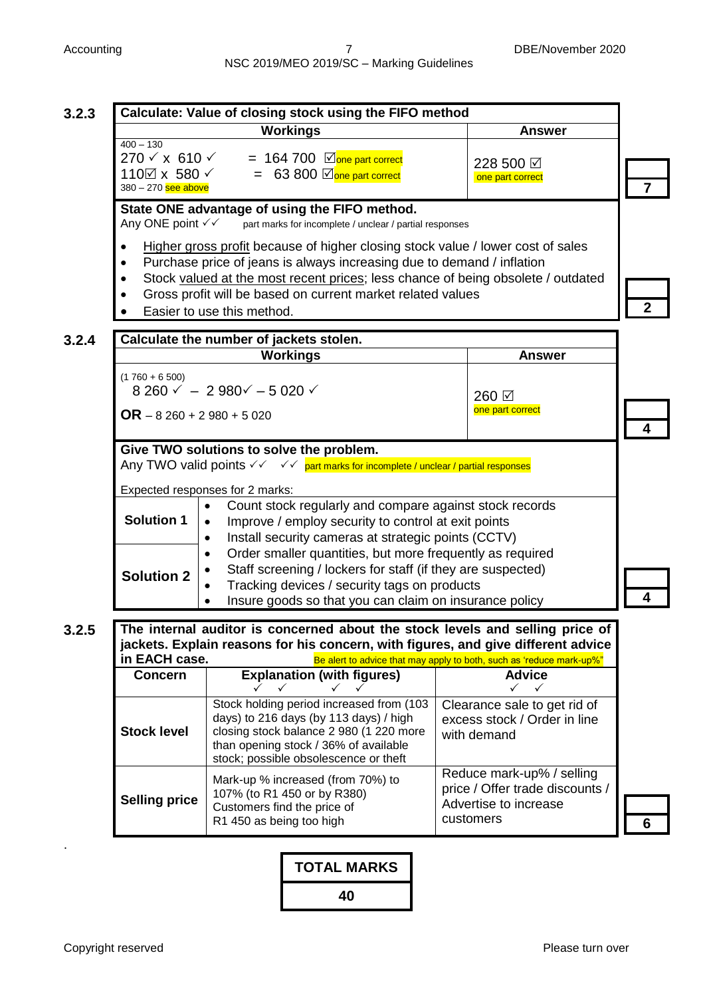**3.2.3 Calculate: Value of closing stock using the FIFO method 7 Workings Answer**  $400 - 130$  $270 \times x$  610  $\checkmark$  = 164 700  $\Box$  one part correct  $110\overline{\boxtimes}$  x 580  $\checkmark$  = 63 800  $\overline{\boxtimes}$  one part correct 380 – 270 see above 228 500 one part correct **State ONE advantage of using the FIFO method.**<br>Any ONE point  $\checkmark$  art marks for incomplete / unclear / partial part marks for incomplete / unclear / partial responses • Higher gross profit because of higher closing stock value / lower cost of sales Purchase price of jeans is always increasing due to demand / inflation Stock valued at the most recent prices; less chance of being obsolete / outdated Gross profit will be based on current market related values Easier to use this method. **2 3.2.4 Calculate the number of jackets stolen. 4 Workings Answer**  $(1760 + 6500)$ 8 260  $\times$  - 2 980 $\times$  - 5 020  $\times$ **OR** – 8 260 + 2 980 + 5 020 260 ☑ one part correct **Give TWO solutions to solve the problem.** Any TWO valid points  $\checkmark\checkmark$   $\checkmark\checkmark$  part marks for incomplete / unclear / partial responses Expected responses for 2 marks: **4 Solution 1** Count stock regularly and compare against stock records Improve / employ security to control at exit points • Install security cameras at strategic points (CCTV) Order smaller quantities, but more frequently as required Staff screening / lockers for staff (if they are suspected) Tracking devices / security tags on products Insure goods so that you can claim on insurance policy **Solution 2 3.2.5 The internal auditor is concerned about the stock levels and selling price of jackets. Explain reasons for his concern, with figures, and give different advice in EACH case. Be alert to advice that may apply to both, such as 'reduce mark-up%" 6 Concern Explanation (with figures)** *★* **★** ★ ★ **Advice**  $\checkmark$   $\checkmark$ **Stock level** Stock holding period increased from (103 days) to 216 days (by 113 days) / high closing stock balance 2 980 (1 220 more than opening stock / 36% of available stock; possible obsolescence or theft Clearance sale to get rid of excess stock / Order in line with demand **Selling price** Mark-up % increased (from 70%) to 107% (to R1 450 or by R380) Customers find the price of R1 450 as being too high Reduce mark-up% / selling price / Offer trade discounts / Advertise to increase customers .

> **TOTAL MARKS 40**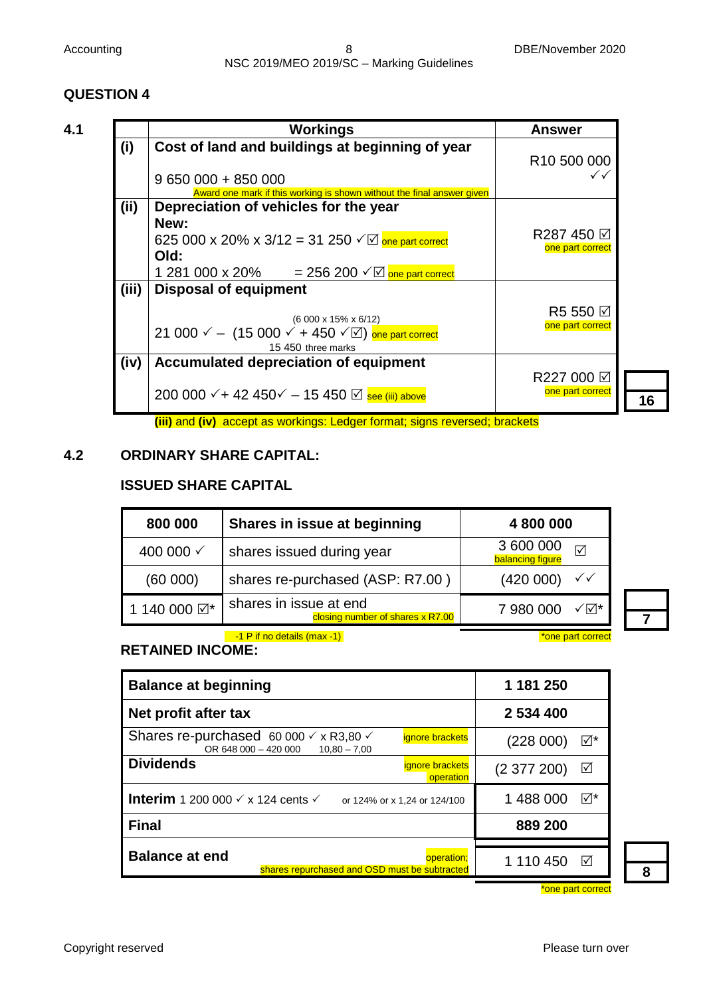|       | <b>Workings</b>                                                                            | <b>Answer</b>           |
|-------|--------------------------------------------------------------------------------------------|-------------------------|
| (i)   | Cost of land and buildings at beginning of year                                            | R <sub>10</sub> 500 000 |
|       | $9650000 + 85000$                                                                          |                         |
|       | Award one mark if this working is shown without the final answer given                     |                         |
| (i)   | Depreciation of vehicles for the year                                                      |                         |
|       | New:                                                                                       |                         |
|       | 625 000 x 20% x 3/12 = 31 250 $\sqrt{2}$ one part correct                                  | R287 450 <b>Ø</b>       |
|       | Old:                                                                                       | one part correct        |
|       |                                                                                            |                         |
|       | 1 281 000 x 20% = 256 200 $\sqrt{2}$ one part correct                                      |                         |
| (iii) | <b>Disposal of equipment</b>                                                               |                         |
|       |                                                                                            | R5 550 <b>⊠</b>         |
|       | $(6000 \times 15\% \times 6/12)$                                                           | one part correct        |
|       | 21 000 $\checkmark$ - (15 000 $\checkmark$ + 450 $\checkmark$ $\boxdot$ ) one part correct |                         |
|       | 15 450 three marks                                                                         |                         |
| (iv)  | Accumulated depreciation of equipment                                                      |                         |
|       |                                                                                            | R227 000 ☑              |
|       | 200 000 $\checkmark$ + 42 450 $\checkmark$ − 15 450 $\textcircled{z}$ see (iii) above      | one part correct        |
|       |                                                                                            |                         |
|       | (iii) and (iv) accept as workings: Ledger format; signs reversed; brackets                 |                         |

#### **4.2 ORDINARY SHARE CAPITAL:**

#### **ISSUED SHARE CAPITAL**

| 800 000      | Shares in issue at beginning                               | 4 800 000                                 |
|--------------|------------------------------------------------------------|-------------------------------------------|
| 400 000 √    | shares issued during year                                  | 3 600 000<br>☑<br><b>balancing figure</b> |
| (60 000)     | shares re-purchased (ASP: R7.00)                           | (420 000)<br>$\checkmark$                 |
| 1 140 000 ☑* | shares in issue at end<br>closing number of shares x R7.00 | 7 980 000                                 |

and 1 P if no details (max -1) **A** in the same part correct to the part correct

## **RETAINED INCOME:**

| <b>Balance at beginning</b>                                                                                               | 1 181 250                           |
|---------------------------------------------------------------------------------------------------------------------------|-------------------------------------|
| Net profit after tax                                                                                                      | 2 534 400                           |
| Shares re-purchased 60 000 $\checkmark$ x R3,80 $\checkmark$<br>ignore brackets<br>OR 648 000 - 420 000<br>$10,80 - 7,00$ | ∣√*<br>(228000)                     |
| <b>Dividends</b><br>ignore brackets<br>operation                                                                          | (2377200)<br>⊻                      |
| <b>Interim</b> 1 200 000 $\checkmark$ x 124 cents $\checkmark$<br>or 124% or x 1,24 or 124/100                            | $\nabla^*$<br>1 488 000             |
| <b>Final</b>                                                                                                              | 889 200                             |
| <b>Balance at end</b><br>operation;<br>shares repurchased and OSD must be subtracted                                      | 1 110 450<br>$\mathsf{I}\mathsf{v}$ |

**8**

**16**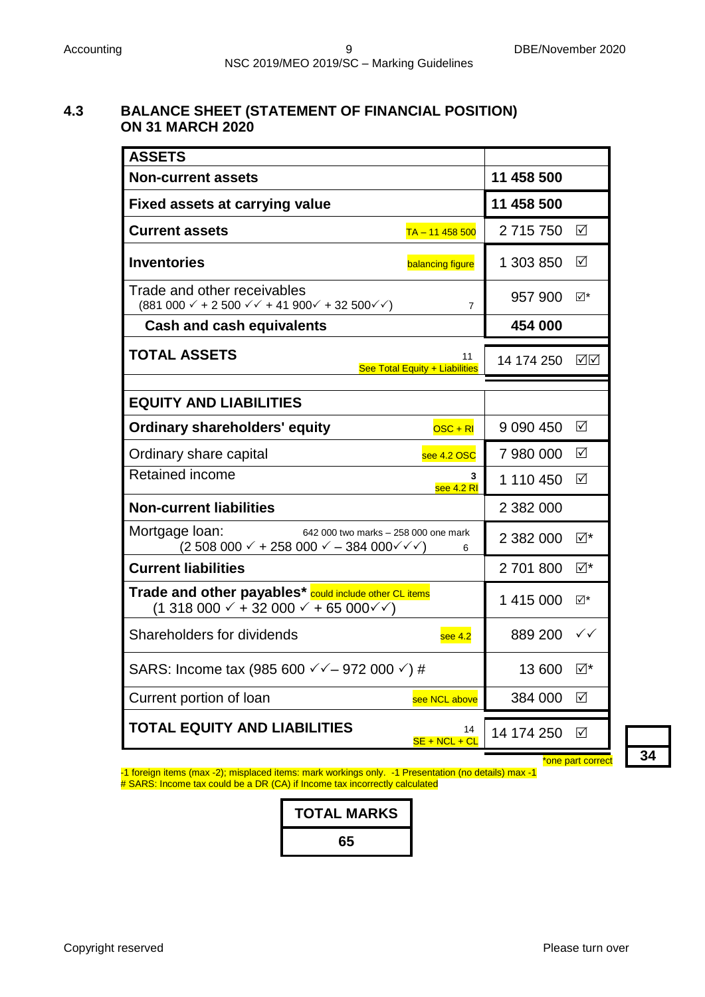# **4.3 BALANCE SHEET (STATEMENT OF FINANCIAL POSITION) ON 31 MARCH 2020**

| <b>ASSETS</b>                                                                                                            |                                      |               |                   |
|--------------------------------------------------------------------------------------------------------------------------|--------------------------------------|---------------|-------------------|
| <b>Non-current assets</b>                                                                                                | 11 458 500                           |               |                   |
| <b>Fixed assets at carrying value</b>                                                                                    | 11 458 500                           |               |                   |
| <b>Current assets</b>                                                                                                    | $TA - 11458500$                      | 2 715 750     | ☑                 |
| <b>Inventories</b>                                                                                                       | balancing figure                     | 1 303 850     | ☑                 |
| Trade and other receivables<br>$(881\ 000 \times + 2\ 500 \times + 41\ 900 \times + 32\ 500 \times)$                     | $\overline{7}$                       | 957 900       | ⊻⊺∑               |
| <b>Cash and cash equivalents</b>                                                                                         |                                      | 454 000       |                   |
| <b>TOTAL ASSETS</b>                                                                                                      | 11<br>See Total Equity + Liabilities | 14 174 250    | ☑⊠                |
| <b>EQUITY AND LIABILITIES</b>                                                                                            |                                      |               |                   |
| <b>Ordinary shareholders' equity</b>                                                                                     | $OSC + RI$                           | 9 0 9 0 4 5 0 | ☑                 |
| Ordinary share capital                                                                                                   | see 4.2 OSC                          | 7 980 000     | ☑                 |
| <b>Retained income</b>                                                                                                   | 3<br>see $4.2$ RI                    | 1 110 450     | ☑                 |
| <b>Non-current liabilities</b>                                                                                           |                                      | 2 382 000     |                   |
| Mortgage loan:<br>642 000 two marks - 258 000 one mark<br>$(2\,508\,000\,\sqrt{+258\,000\,\sqrt{-384\,000\,\sqrt{-1}}})$ | 6                                    | 2 382 000     | ⊻⊠                |
| <b>Current liabilities</b>                                                                                               |                                      | 2701800       | ⊠*                |
| Trade and other payables* could include other CL items<br>(1 318 000 ✓ + 32 000 ✓ + 65 000✓✓)                            |                                      | 1 415 000     | ⊠*                |
| Shareholders for dividends                                                                                               | see $4.2$                            | 889 200       | $\checkmark$      |
| SARS: Income tax (985 600 $\checkmark$ – 972 000 $\checkmark$ ) #                                                        |                                      | 13 600 ☑*     |                   |
| Current portion of loan                                                                                                  | see NCL above                        | 384 000       | ☑                 |
| <b>TOTAL EQUITY AND LIABILITIES</b>                                                                                      | 14<br>$SE + NCL + CL$                | 14 174 250    | ☑                 |
|                                                                                                                          |                                      |               | *one part correct |

-1 foreign items (max -2); misplaced items: mark workings only. -1 Presentation (no details) max -1 # SARS: Income tax could be a DR (CA) if Income tax incorrectly calculated

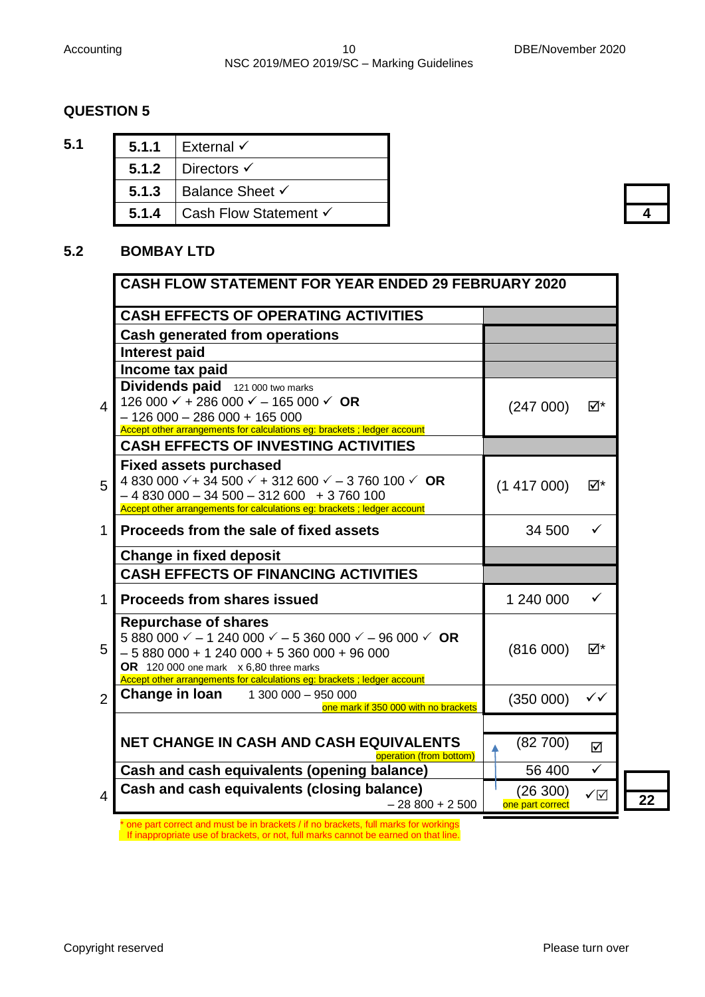| ۰,                | ۰, |
|-------------------|----|
|                   |    |
| ×<br>ł<br>۰.<br>× |    |

| 5.1 |       | 5.1.1   External $\checkmark$      |  |
|-----|-------|------------------------------------|--|
|     |       | 5.1.2   Directors $\checkmark$     |  |
|     |       | 5.1.3   Balance Sheet $\checkmark$ |  |
|     | 5.1.4 | Cash Flow Statement √              |  |

# **4**

# **5.2 BOMBAY LTD**

|                | <b>CASH FLOW STATEMENT FOR YEAR ENDED 29 FEBRUARY 2020</b>                                                                                                                                                                                                                                       |                              |              |
|----------------|--------------------------------------------------------------------------------------------------------------------------------------------------------------------------------------------------------------------------------------------------------------------------------------------------|------------------------------|--------------|
|                | <b>CASH EFFECTS OF OPERATING ACTIVITIES</b>                                                                                                                                                                                                                                                      |                              |              |
|                | <b>Cash generated from operations</b>                                                                                                                                                                                                                                                            |                              |              |
|                | <b>Interest paid</b>                                                                                                                                                                                                                                                                             |                              |              |
|                | Income tax paid                                                                                                                                                                                                                                                                                  |                              |              |
| 4              | Dividends paid 121 000 two marks<br>126 000 $\checkmark$ + 286 000 $\checkmark$ - 165 000 $\checkmark$ OR<br>$-126000 - 286000 + 165000$<br>Accept other arrangements for calculations eg: brackets ; ledger account                                                                             | (247000)                     | ⊠*           |
|                | <b>CASH EFFECTS OF INVESTING ACTIVITIES</b>                                                                                                                                                                                                                                                      |                              |              |
| 5              | <b>Fixed assets purchased</b><br>4 830 000 $\checkmark$ + 34 500 $\checkmark$ + 312 600 $\checkmark$ – 3 760 100 $\checkmark$ OR<br>$-4830000 - 34500 - 312600 + 3760100$<br>Accept other arrangements for calculations eg: brackets ; ledger account                                            | (1417000)                    | ⊠*           |
| 1              | Proceeds from the sale of fixed assets                                                                                                                                                                                                                                                           | 34 500                       |              |
|                | <b>Change in fixed deposit</b>                                                                                                                                                                                                                                                                   |                              |              |
|                | <b>CASH EFFECTS OF FINANCING ACTIVITIES</b>                                                                                                                                                                                                                                                      |                              |              |
| $\mathbf{1}$   | <b>Proceeds from shares issued</b>                                                                                                                                                                                                                                                               | 1 240 000                    | ✓            |
| 5              | <b>Repurchase of shares</b><br>5 880 000 $\checkmark$ - 1 240 000 $\checkmark$ - 5 360 000 $\checkmark$ - 96 000 $\checkmark$ OR<br>$-5880000 + 1240000 + 5360000 + 96000$<br>OR 120 000 one mark x 6,80 three marks<br>Accept other arrangements for calculations eg: brackets ; ledger account | (816000)                     | ⊠*           |
| $\overline{2}$ | <b>Change in loan</b> 1 300 000 - 950 000<br>one mark if 350 000 with no brackets                                                                                                                                                                                                                | (350000)                     | ✓✓           |
|                |                                                                                                                                                                                                                                                                                                  |                              |              |
|                | NET CHANGE IN CASH AND CASH EQUIVALENTS<br>operation (from bottom)                                                                                                                                                                                                                               | (82700)                      | ☑            |
|                | Cash and cash equivalents (opening balance)                                                                                                                                                                                                                                                      | 56 400                       | $\checkmark$ |
| 4              | Cash and cash equivalents (closing balance)<br>$-28800 + 2500$                                                                                                                                                                                                                                   | (26 300)<br>one part correct | ✓☑           |

**22**

\* one part correct and must be in brackets / if no brackets, full marks for workings If inappropriate use of brackets, or not, full marks cannot be earned on that line.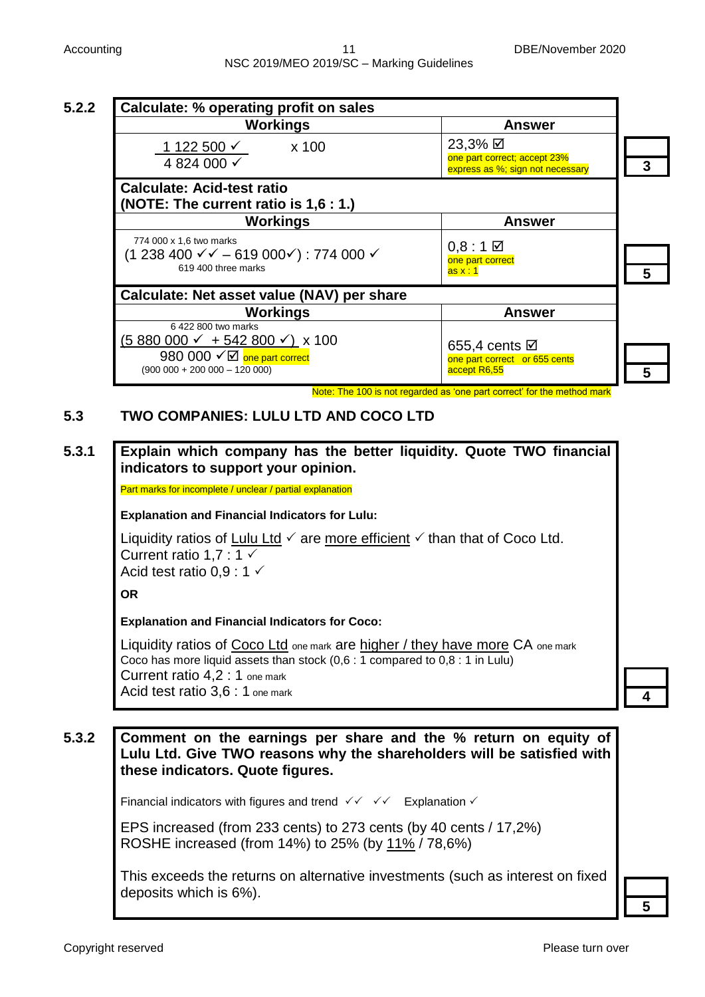| <b>Workings</b>                                                                                                                                                             | <b>Answer</b>                                                                           |  |
|-----------------------------------------------------------------------------------------------------------------------------------------------------------------------------|-----------------------------------------------------------------------------------------|--|
| x 100<br>1 122 500 $\checkmark$<br>4 824 000 √                                                                                                                              | 23,3% Ø<br>one part correct; accept 23%<br>express as %; sign not necessary             |  |
| <b>Calculate: Acid-test ratio</b><br>(NOTE: The current ratio is 1,6 : 1.)                                                                                                  |                                                                                         |  |
| <b>Workings</b>                                                                                                                                                             | <b>Answer</b>                                                                           |  |
| 774 000 x 1.6 two marks<br>$(1238400 \sqrt{6} - 619000)$ : 774 000 $\sqrt{6}$<br>619 400 three marks                                                                        | $0,8:1$ $\boxtimes$<br>one part correct<br>$\overline{\text{as x : 1}}$                 |  |
| Calculate: Net asset value (NAV) per share                                                                                                                                  |                                                                                         |  |
| <b>Workings</b><br>6 422 800 two marks                                                                                                                                      | <b>Answer</b>                                                                           |  |
| $(5880000 \times + 542800 \times)$ x 100<br>980 000 $\sqrt{2}$ one part correct<br>$(900\ 000 + 200\ 000 - 120\ 000)$                                                       | 655,4 cents <b>Ø</b><br>one part correct or 655 cents                                   |  |
|                                                                                                                                                                             | accept R6,55<br>Note: The 100 is not regarded as 'one part correct' for the method mark |  |
| <b>TWO COMPANIES: LULU LTD AND COCO LTD</b><br>Explain which company has the better liquidity. Quote TWO financial<br>indicators to support your opinion.                   |                                                                                         |  |
| Part marks for incomplete / unclear / partial explanation                                                                                                                   |                                                                                         |  |
| <b>Explanation and Financial Indicators for Lulu:</b>                                                                                                                       |                                                                                         |  |
| Liquidity ratios of Lulu Ltd $\checkmark$ are more efficient $\checkmark$ than that of Coco Ltd.<br>Current ratio 1,7 : 1 $\checkmark$<br>Acid test ratio $0.9:1\checkmark$ |                                                                                         |  |
| <b>OR</b>                                                                                                                                                                   |                                                                                         |  |
| <b>Explanation and Financial Indicators for Coco:</b>                                                                                                                       |                                                                                         |  |

Liquidity ratios of Coco Ltd one mark are higher / they have more CA one mark Coco has more liquid assets than stock (0,6 : 1 compared to 0,8 : 1 in Lulu) Current ratio 4,2 : 1 one mark Acid test ratio 3,6 : 1 one mark

**4**

# **5.3.2 Comment on the earnings per share and the % return on equity of Lulu Ltd. Give TWO reasons why the shareholders will be satisfied with these indicators. Quote figures.**

Financial indicators with figures and trend  $\checkmark$   $\checkmark$   $\checkmark$  Explanation  $\checkmark$ 

EPS increased (from 233 cents) to 273 cents (by 40 cents / 17,2%) ROSHE increased (from 14%) to 25% (by 11% / 78,6%)

This exceeds the returns on alternative investments (such as interest on fixed deposits which is 6%).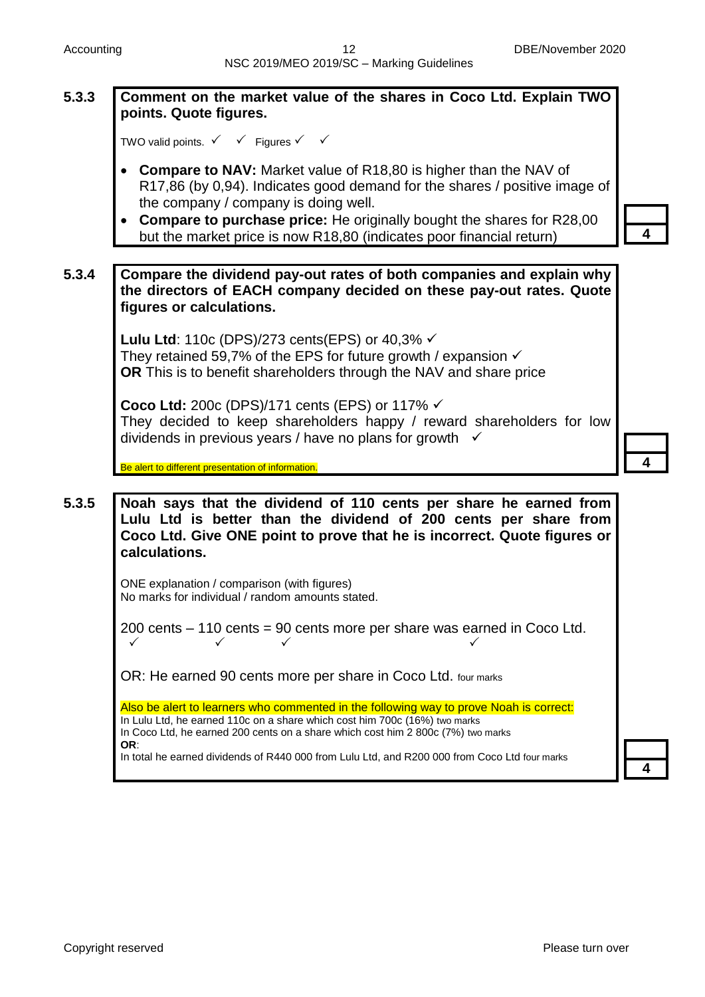# **5.3.3 Comment on the market value of the shares in Coco Ltd. Explain TWO points. Quote figures.**

```
TWO valid points. \checkmark \checkmark Figures \checkmark \checkmark
```
- **Compare to NAV:** Market value of R18,80 is higher than the NAV of R17,86 (by 0,94). Indicates good demand for the shares / positive image of the company / company is doing well.
- **Compare to purchase price:** He originally bought the shares for R28,00 but the market price is now R18,80 (indicates poor financial return)

**5.3.4 Compare the dividend pay-out rates of both companies and explain why the directors of EACH company decided on these pay-out rates. Quote figures or calculations.**

> **Lulu Ltd**: 110c (DPS)/273 cents(EPS) or 40,3% √ They retained 59,7% of the EPS for future growth / expansion  $\checkmark$ **OR** This is to benefit shareholders through the NAV and share price

**Coco Ltd:** 200c (DPS)/171 cents (EPS) or 117% They decided to keep shareholders happy / reward shareholders for low dividends in previous years / have no plans for growth  $\checkmark$ 

Be alert to different presentation of information.

**5.3.5 Noah says that the dividend of 110 cents per share he earned from Lulu Ltd is better than the dividend of 200 cents per share from Coco Ltd. Give ONE point to prove that he is incorrect. Quote figures or calculations.**

> ONE explanation / comparison (with figures) No marks for individual / random amounts stated.

200 cents – 110 cents = 90 cents more per share was earned in Coco Ltd.  $\checkmark$  and  $\checkmark$  and  $\checkmark$ 

OR: He earned 90 cents more per share in Coco Ltd. four marks

Also be alert to learners who commented in the following way to prove Noah is correct: In Lulu Ltd, he earned 110c on a share which cost him 700c (16%) two marks In Coco Ltd, he earned 200 cents on a share which cost him 2 800c (7%) two marks **OR**: In total he earned dividends of R440 000 from Lulu Ltd, and R200 000 from Coco Ltd four marks

**4**



**4**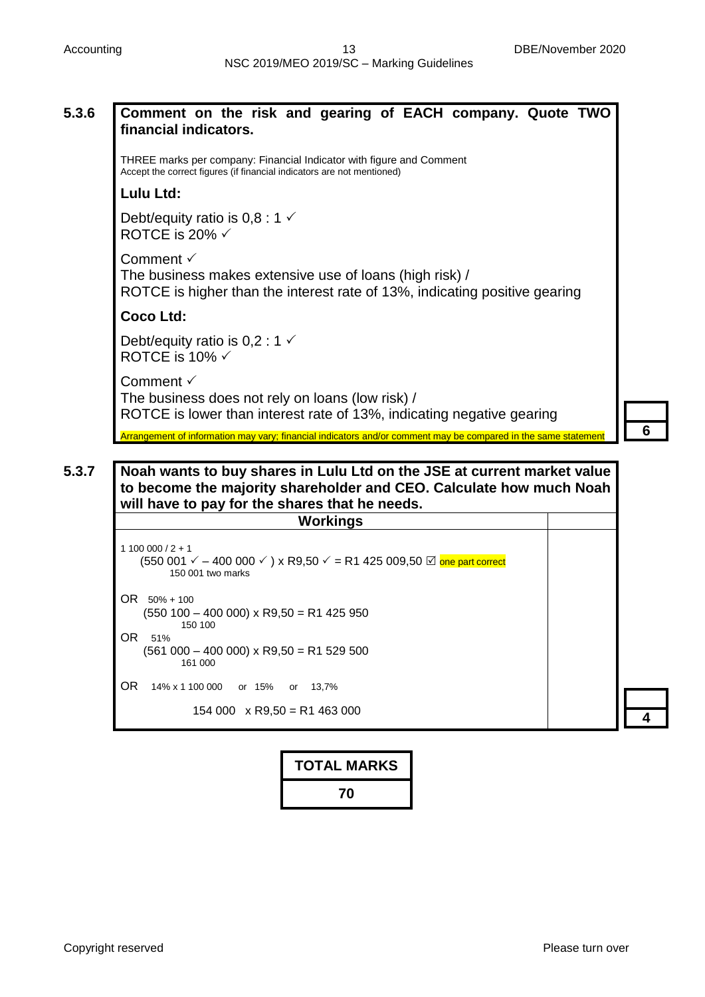| 5.3.6 | Comment on the risk and gearing of EACH company. Quote TWO<br>financial indicators.                                                                                                              |  |  |  |
|-------|--------------------------------------------------------------------------------------------------------------------------------------------------------------------------------------------------|--|--|--|
|       | THREE marks per company: Financial Indicator with figure and Comment<br>Accept the correct figures (if financial indicators are not mentioned)                                                   |  |  |  |
|       | <b>Lulu Ltd:</b>                                                                                                                                                                                 |  |  |  |
|       | Debt/equity ratio is $0,8:1 \checkmark$<br>ROTCE is 20% $\checkmark$                                                                                                                             |  |  |  |
|       | Comment $\checkmark$<br>The business makes extensive use of loans (high risk) /<br>ROTCE is higher than the interest rate of 13%, indicating positive gearing                                    |  |  |  |
|       | <b>Coco Ltd:</b>                                                                                                                                                                                 |  |  |  |
|       | Debt/equity ratio is $0,2:1 \checkmark$<br>ROTCE is 10% $\checkmark$                                                                                                                             |  |  |  |
|       | Comment $\checkmark$<br>The business does not rely on loans (low risk) /<br>ROTCE is lower than interest rate of 13%, indicating negative gearing                                                |  |  |  |
|       | Arrangement of information may vary; financial indicators and/or comment may be compared in the same statemen                                                                                    |  |  |  |
|       |                                                                                                                                                                                                  |  |  |  |
| 5.3.7 | Noah wants to buy shares in Lulu Ltd on the JSE at current market value<br>to become the majority shareholder and CEO. Calculate how much Noah<br>will have to pay for the shares that he needs. |  |  |  |
|       | <b>Workings</b>                                                                                                                                                                                  |  |  |  |
|       | $1100000 / 2 + 1$<br>(550 001 $\checkmark$ – 400 000 $\checkmark$ ) x R9,50 $\checkmark$ = R1 425 009,50 $\textcircled{z}$ one part correct<br>150 001 two marks                                 |  |  |  |
|       | $OR$ 50% + 100<br>$(550 100 - 400 000)$ x R9,50 = R1 425 950<br>150 100                                                                                                                          |  |  |  |
|       | OR.<br>51%<br>$(561 000 - 400 000)$ x R9,50 = R1 529 500<br>161 000                                                                                                                              |  |  |  |
|       | OR.<br>14% x 1 100 000<br>or 15%<br>13,7%<br>or                                                                                                                                                  |  |  |  |
|       | $154000 \times R9,50 = R1463000$                                                                                                                                                                 |  |  |  |

| <b>TOTAL MARKS</b> |  |
|--------------------|--|
| 70                 |  |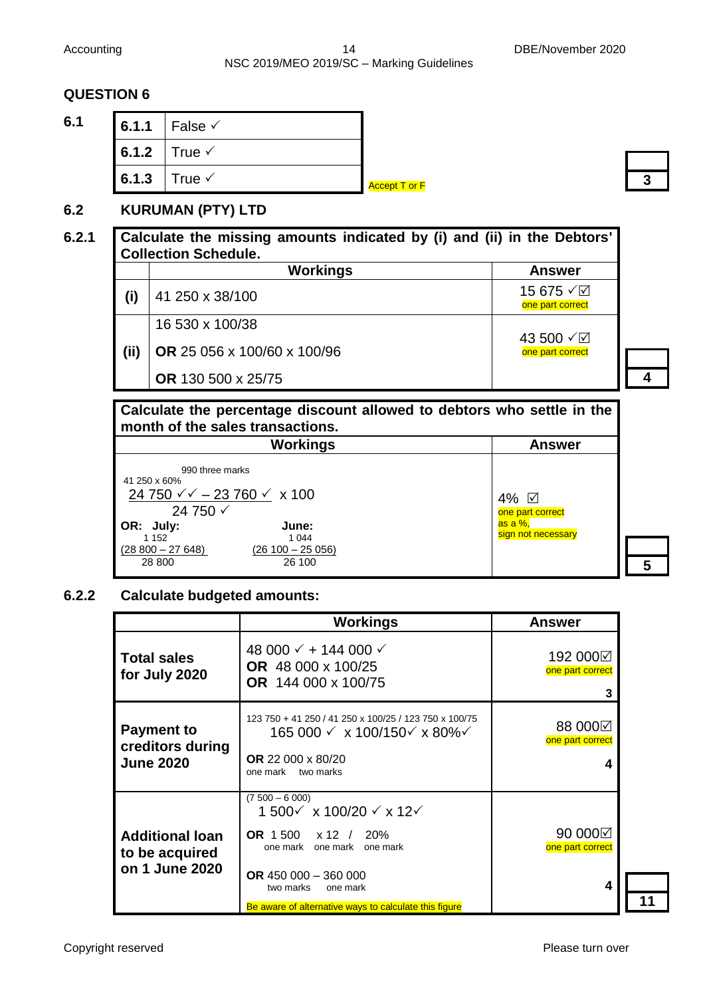#### Accounting 14 DBE/November 2020 NSC 2019/MEO 2019/SC – Marking Guidelines

# **QUESTION 6**

**6.1 6.1.1** False  $\checkmark$ 6.1.2  $\vert$  True  $\checkmark$ 6.1.3  $\vert$  True  $\checkmark$ 

**Accept T or F** 

# **6.2 KURUMAN (PTY) LTD**

# **6.2.1 Calculate the missing amounts indicated by (i) and (ii) in the Debtors' Collection Schedule.**

|      | <b>Workings</b>             | <b>Answer</b>                 |
|------|-----------------------------|-------------------------------|
| (i)  | 41 250 x 38/100             | 15 675 √⊠<br>one part correct |
|      | 16 530 x 100/38             |                               |
| (ii) | OR 25 056 x 100/60 x 100/96 | 43 500 √⊠<br>one part correct |
|      | <b>OR</b> 130 500 x 25/75   |                               |

# **Calculate the percentage discount allowed to debtors who settle in the month of the sales transactions.**

| <b>Workings</b>                                                                            |                             | <b>Answer</b>                 |
|--------------------------------------------------------------------------------------------|-----------------------------|-------------------------------|
| 990 three marks<br>41 250 x 60%<br>24 750 $\sqrt{7}$ – 23 760 $\sqrt{7}$ x 100<br>24 750 √ |                             | 4% ☑<br>one part correct      |
| OR: July:<br>1 1 5 2                                                                       | June:<br>1 0 4 4            | as a %,<br>sign not necessary |
| $(28800 - 27648)$<br>28 800                                                                | $(26100 - 25056)$<br>26 100 |                               |

# **6.2.2 Calculate budgeted amounts:**

|                                                            | <b>Workings</b>                                                                                                                                                                                                            | <b>Answer</b>                     |
|------------------------------------------------------------|----------------------------------------------------------------------------------------------------------------------------------------------------------------------------------------------------------------------------|-----------------------------------|
| <b>Total sales</b><br>for July 2020                        | 48 000 $\checkmark$ + 144 000 $\checkmark$<br>OR 48 000 x 100/25<br><b>OR</b> 144 000 x 100/75                                                                                                                             | 192 000⊠<br>one part correct<br>3 |
| <b>Payment to</b><br>creditors during<br><b>June 2020</b>  | 123 750 + 41 250 / 41 250 x 100/25 / 123 750 x 100/75<br>165 000 √ x 100/150√ x 80%√<br><b>OR</b> 22 000 x 80/20<br>one mark<br>two marks                                                                                  | 88 000⊠<br>one part correct<br>4  |
| <b>Additional loan</b><br>to be acquired<br>on 1 June 2020 | $(7500 - 6000)$<br>1 500√ x 100/20 √ x 12√<br>OR $1500 \times 12$ /<br>20%<br>one mark<br>one mark<br>one mark<br>OR 450 000 $-$ 360 000<br>two marks<br>one mark<br>Be aware of alternative ways to calculate this figure | 90 000⊠<br>one part correct<br>4  |

**3**

**4**